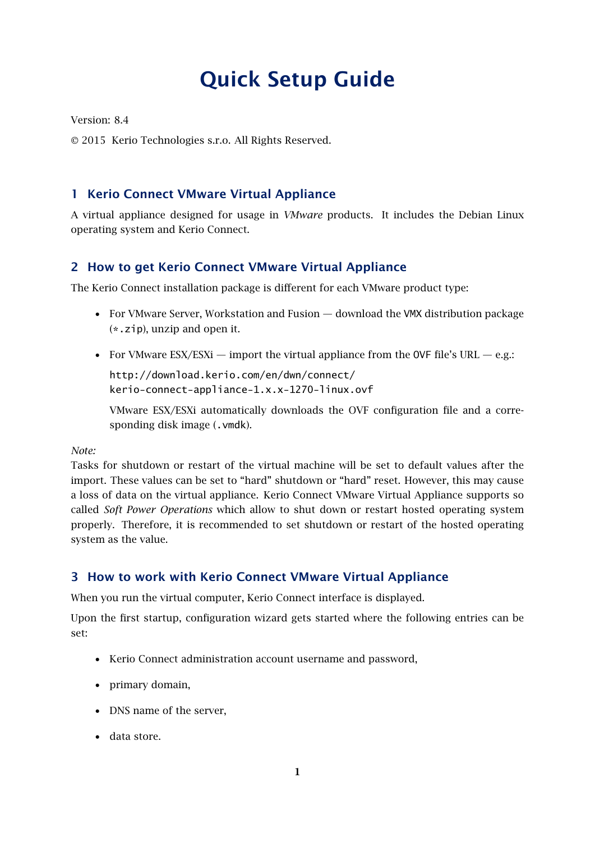# Quick Setup Guide

Version: 8.4

2015 Kerio Technologies s.r.o. All Rights Reserved.

# 1 Kerio Connect VMware Virtual Appliance

A virtual appliance designed for usage in *VMware* products. It includes the Debian Linux operating system and Kerio Connect.

## 2 How to get Kerio Connect VMware Virtual Appliance

The Kerio Connect installation package is different for each VMware product type:

- For VMware Server, Workstation and Fusion download the VMX distribution package (\*.zip), unzip and open it.
- For VMware ESX/ESXi import the virtual appliance from the OVF file's URL e.g.:

http://download.kerio.com/en/dwn/connect/ kerio-connect-appliance-1.x.x-1270-linux.ovf

VMware ESX/ESXi automatically downloads the OVF configuration file and a corresponding disk image (.vmdk).

*Note:*

Tasks for shutdown or restart of the virtual machine will be set to default values after the import. These values can be set to "hard" shutdown or "hard" reset. However, this may cause a loss of data on the virtual appliance. Kerio Connect VMware Virtual Appliance supports so called *Soft Power Operations* which allow to shut down or restart hosted operating system properly. Therefore, it is recommended to set shutdown or restart of the hosted operating system as the value.

# 3 How to work with Kerio Connect VMware Virtual Appliance

When you run the virtual computer, Kerio Connect interface is displayed.

Upon the first startup, configuration wizard gets started where the following entries can be set:

- Kerio Connect administration account username and password,
- primary domain,
- DNS name of the server,
- data store.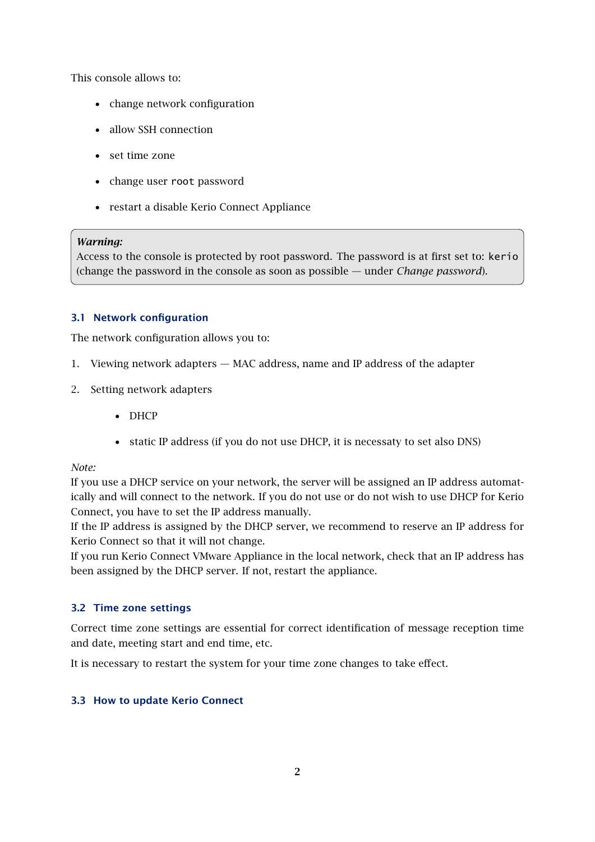This console allows to:

- change network configuration
- allow SSH connection
- set time zone
- change user root password
- restart a disable Kerio Connect Appliance

#### *Warning:*

Access to the console is protected by root password. The password is at first set to: kerio (change the password in the console as soon as possible — under *Change password*).

#### 3.1 Network configuration

The network configuration allows you to:

- 1. Viewing network adapters MAC address, name and IP address of the adapter
- 2. Setting network adapters
	- DHCP
	- static IP address (if you do not use DHCP, it is necessaty to set also DNS)

*Note:*

If you use a DHCP service on your network, the server will be assigned an IP address automatically and will connect to the network. If you do not use or do not wish to use DHCP for Kerio Connect, you have to set the IP address manually.

If the IP address is assigned by the DHCP server, we recommend to reserve an IP address for Kerio Connect so that it will not change.

If you run Kerio Connect VMware Appliance in the local network, check that an IP address has been assigned by the DHCP server. If not, restart the appliance.

#### 3.2 Time zone settings

Correct time zone settings are essential for correct identification of message reception time and date, meeting start and end time, etc.

It is necessary to restart the system for your time zone changes to take effect.

#### 3.3 How to update Kerio Connect